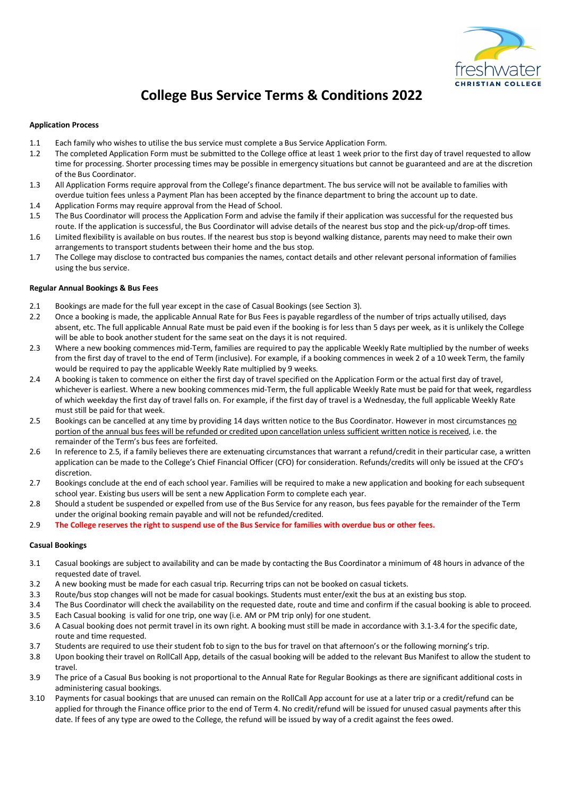

# **College Bus Service Terms & Conditions 2022**

#### **Application Process**

- 1.1 Each family who wishes to utilise the bus service must complete a Bus Service Application Form.
- 1.2 The completed Application Form must be submitted to the College office at least 1 week prior to the first day of travel requested to allow time for processing. Shorter processing times may be possible in emergency situations but cannot be guaranteed and are at the discretion of the Bus Coordinator.
- 1.3 All Application Forms require approval from the College's finance department. The bus service will not be available to families with overdue tuition fees unless a Payment Plan has been accepted by the finance department to bring the account up to date.
- 1.4 Application Forms may require approval from the Head of School.
- 1.5 The Bus Coordinator will process the Application Form and advise the family if their application was successful for the requested bus route. If the application is successful, the Bus Coordinator will advise details of the nearest bus stop and the pick-up/drop-off times.
- 1.6 Limited flexibility is available on bus routes. If the nearest bus stop is beyond walking distance, parents may need to make their own arrangements to transport students between their home and the bus stop.
- 1.7 The College may disclose to contracted bus companies the names, contact details and other relevant personal information of families using the bus service.

#### **Regular Annual Bookings & Bus Fees**

- 2.1 Bookings are made for the full year except in the case of Casual Bookings (see Section 3).
- 2.2 Once a booking is made, the applicable Annual Rate for Bus Fees is payable regardless of the number of trips actually utilised, days absent, etc. The full applicable Annual Rate must be paid even if the booking is for less than 5 days per week, as it is unlikely the College will be able to book another student for the same seat on the days it is not required.
- 2.3 Where a new booking commences mid-Term, families are required to pay the applicable Weekly Rate multiplied by the number of weeks from the first day of travel to the end of Term (inclusive). For example, if a booking commences in week 2 of a 10 week Term, the family would be required to pay the applicable Weekly Rate multiplied by 9 weeks.
- 2.4 A booking is taken to commence on either the first day of travel specified on the Application Form or the actual first day of travel. whichever is earliest. Where a new booking commences mid-Term, the full applicable Weekly Rate must be paid for that week, regardless of which weekday the first day of travel falls on. For example, if the first day of travel is a Wednesday, the full applicable Weekly Rate must still be paid for that week.
- 2.5 Bookings can be cancelled at any time by providing 14 days written notice to the Bus Coordinator. However in most circumstances no portion of the annual bus fees will be refunded or credited upon cancellation unless sufficient written notice is received, i.e. the remainder of the Term's bus fees are forfeited.
- 2.6 In reference to 2.5, if a family believes there are extenuating circumstances that warrant a refund/credit in their particular case, a written application can be made to the College's Chief Financial Officer (CFO) for consideration. Refunds/credits will only be issued at the CFO's discretion.
- 2.7 Bookings conclude at the end of each school year. Families will be required to make a new application and booking for each subsequent school year. Existing bus users will be sent a new Application Form to complete each year.
- 2.8 Should a student be suspended or expelled from use of the Bus Service for any reason, bus fees payable for the remainder of the Term under the original booking remain payable and will not be refunded/credited.
- 2.9 **The College reserves the right to suspend use of the Bus Service for families with overdue bus or other fees.**

#### **Casual Bookings**

- 3.1 Casual bookings are subject to availability and can be made by contacting the Bus Coordinator a minimum of 48 hours in advance of the requested date of travel.
- 3.2 A new booking must be made for each casual trip. Recurring trips can not be booked on casual tickets.
- 3.3 Route/bus stop changes will not be made for casual bookings. Students must enter/exit the bus at an existing bus stop.
- 3.4 The Bus Coordinator will check the availability on the requested date, route and time and confirm if the casual booking is able to proceed.
- 3.5 Each Casual booking is valid for one trip, one way (i.e. AM or PM trip only) for one student.
- 3.6 A Casual booking does not permit travel in its own right. A booking must still be made in accordance with 3.1-3.4 for the specific date, route and time requested.
- 3.7 Students are required to use their student fob to sign to the bus for travel on that afternoon's or the following morning's trip.
- 3.8 Upon booking their travel on RollCall App, details of the casual booking will be added to the relevant Bus Manifest to allow the student to travel.
- 3.9 The price of a Casual Bus booking is not proportional to the Annual Rate for Regular Bookings as there are significant additional costs in administering casual bookings.
- 3.10 Payments for casual bookings that are unused can remain on the RollCall App account for use at a later trip or a credit/refund can be applied for through the Finance office prior to the end of Term 4. No credit/refund will be issued for unused casual payments after this date. If fees of any type are owed to the College, the refund will be issued by way of a credit against the fees owed.